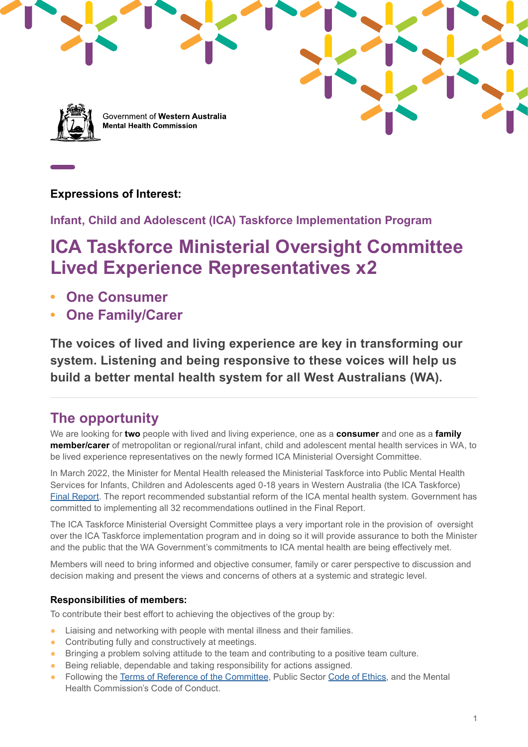

Government of Western Australia **Mental Health Commission** 

### **Expressions of Interest:**

**Infant, Child and Adolescent (ICA) Taskforce Implementation Program** 

# **ICA Taskforce Ministerial Oversight Committee Lived Experience Representatives x2**

- **• One Consumer**
- **• One Family/Carer**

**The voices of lived and living experience are key in transforming our system. Listening and being responsive to these voices will help us build a better mental health system for all West Australians (WA).**

### **The opportunity**

We are looking for **two** people with lived and living experience, one as a **consumer** and one as a **family member/carer** of metropolitan or regional/rural infant, child and adolescent mental health services in WA, to be lived experience representatives on the newly formed ICA Ministerial Oversight Committee.

In March 2022, the Minister for Mental Health released the Ministerial Taskforce into Public Mental Health Services for Infants, Children and Adolescents aged 0-18 years in Western Australia (the ICA Taskforce) [Final Report.](https://www.mhc.wa.gov.au/media/4241/ica-taskforce-final-report-2022-final-lr.pdf) The report recommended substantial reform of the ICA mental health system. Government has committed to implementing all 32 recommendations outlined in the Final Report.

The ICA Taskforce Ministerial Oversight Committee plays a very important role in the provision of oversight over the ICA Taskforce implementation program and in doing so it will provide assurance to both the Minister and the public that the WA Government's commitments to ICA mental health are being effectively met.

Members will need to bring informed and objective consumer, family or carer perspective to discussion and decision making and present the views and concerns of others at a systemic and strategic level.

### **Responsibilities of members:**

To contribute their best effort to achieving the objectives of the group by:

- Liaising and networking with people with mental illness and their families.
- Contributing fully and constructively at meetings.
- Bringing a problem solving attitude to the team and contributing to a positive team culture.
- Being reliable, dependable and taking responsibility for actions assigned.
- Following the [Terms of Reference of the Committee,](https://www.mhc.wa.gov.au/media/4290/terms-of-reference-ica-ministerial-oversight-committee.docx) Public Sector [Code of Ethics,](https://www.wa.gov.au/organisation/public-sector-commission) and the Mental Health Commission's Code of Conduct.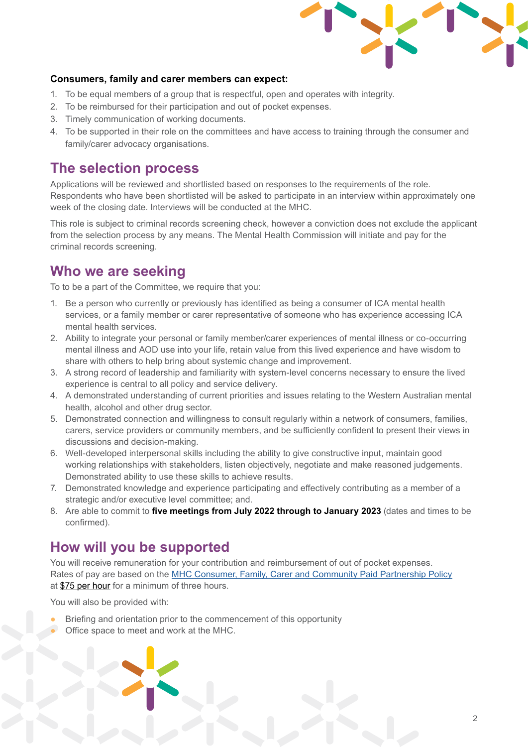

#### **Consumers, family and carer members can expect:**

- 1. To be equal members of a group that is respectful, open and operates with integrity.
- 2. To be reimbursed for their participation and out of pocket expenses.
- 3. Timely communication of working documents.
- 4. To be supported in their role on the committees and have access to training through the consumer and family/carer advocacy organisations.

### **The selection process**

Applications will be reviewed and shortlisted based on responses to the requirements of the role. Respondents who have been shortlisted will be asked to participate in an interview within approximately one week of the closing date. Interviews will be conducted at the MHC.

This role is subject to criminal records screening check, however a conviction does not exclude the applicant from the selection process by any means. The Mental Health Commission will initiate and pay for the criminal records screening.

### **Who we are seeking**

To to be a part of the Committee, we require that you:

- 1. Be a person who currently or previously has identified as being a consumer of ICA mental health services, or a family member or carer representative of someone who has experience accessing ICA mental health services.
- 2. Ability to integrate your personal or family member/carer experiences of mental illness or co-occurring mental illness and AOD use into your life, retain value from this lived experience and have wisdom to share with others to help bring about systemic change and improvement.
- 3. A strong record of leadership and familiarity with system-level concerns necessary to ensure the lived experience is central to all policy and service delivery.
- 4. A demonstrated understanding of current priorities and issues relating to the Western Australian mental health, alcohol and other drug sector.
- 5. Demonstrated connection and willingness to consult regularly within a network of consumers, families, carers, service providers or community members, and be sufficiently confident to present their views in discussions and decision-making.
- 6. Well-developed interpersonal skills including the ability to give constructive input, maintain good working relationships with stakeholders, listen objectively, negotiate and make reasoned judgements. Demonstrated ability to use these skills to achieve results.
- 7. Demonstrated knowledge and experience participating and effectively contributing as a member of a strategic and/or executive level committee; and.
- 8. Are able to commit to **five meetings from July 2022 through to January 2023** (dates and times to be confirmed).

### **How will you be supported**

You will receive remuneration for your contribution and reimbursement of out of pocket expenses. Rates of pay are based on the [MHC Consumer, Family, Carer and Community Paid Partnership Policy](https://www.mhc.wa.gov.au/media/3614/paid-participation-policy-consultation-completed-amended-policy.pdf) at \$75 per hour for a minimum of three hours.

You will also be provided with:

- Briefing and orientation prior to the commencement of this opportunity
- Office space to meet and work at the MHC.